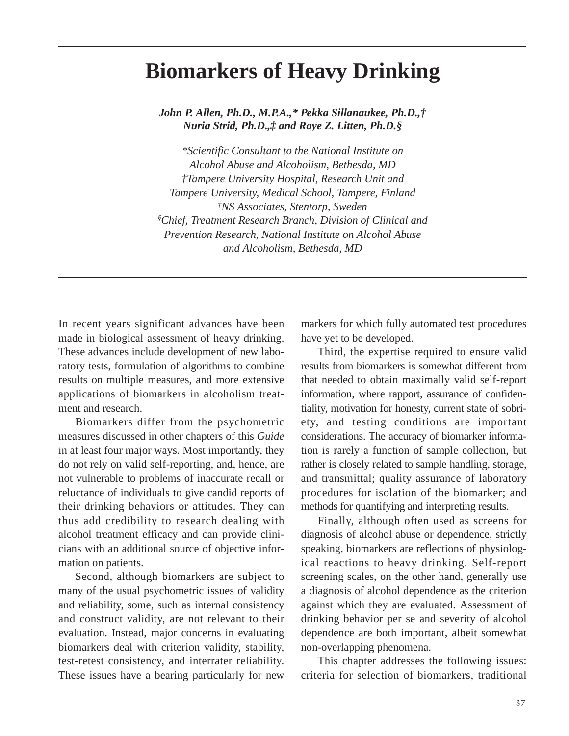# **Biomarkers of Heavy Drinking**

*John P. Allen, Ph.D., M.P.A.,\* Pekka Sillanaukee, Ph.D.,† Nuria Strid, Ph.D.,‡ and Raye Z. Litten, Ph.D.§* 

*\*Scientific Consultant to the National Institute on Alcohol Abuse and Alcoholism, Bethesda, MD †Tampere University Hospital, Research Unit and Tampere University, Medical School, Tampere, Finland ‡ NS Associates, Stentorp, Sweden § Chief, Treatment Research Branch, Division of Clinical and Prevention Research, National Institute on Alcohol Abuse and Alcoholism, Bethesda, MD* 

In recent years significant advances have been made in biological assessment of heavy drinking. These advances include development of new laboratory tests, formulation of algorithms to combine results on multiple measures, and more extensive applications of biomarkers in alcoholism treatment and research.

Biomarkers differ from the psychometric measures discussed in other chapters of this *Guide*  in at least four major ways. Most importantly, they do not rely on valid self-reporting, and, hence, are not vulnerable to problems of inaccurate recall or reluctance of individuals to give candid reports of their drinking behaviors or attitudes. They can thus add credibility to research dealing with alcohol treatment efficacy and can provide clinicians with an additional source of objective information on patients.

Second, although biomarkers are subject to many of the usual psychometric issues of validity and reliability, some, such as internal consistency and construct validity, are not relevant to their evaluation. Instead, major concerns in evaluating biomarkers deal with criterion validity, stability, test-retest consistency, and interrater reliability. These issues have a bearing particularly for new

markers for which fully automated test procedures have yet to be developed.

Third, the expertise required to ensure valid results from biomarkers is somewhat different from that needed to obtain maximally valid self-report information, where rapport, assurance of confidentiality, motivation for honesty, current state of sobriety, and testing conditions are important considerations. The accuracy of biomarker information is rarely a function of sample collection, but rather is closely related to sample handling, storage, and transmittal; quality assurance of laboratory procedures for isolation of the biomarker; and methods for quantifying and interpreting results.

Finally, although often used as screens for diagnosis of alcohol abuse or dependence, strictly speaking, biomarkers are reflections of physiological reactions to heavy drinking. Self-report screening scales, on the other hand, generally use a diagnosis of alcohol dependence as the criterion against which they are evaluated. Assessment of drinking behavior per se and severity of alcohol dependence are both important, albeit somewhat non-overlapping phenomena.

This chapter addresses the following issues: criteria for selection of biomarkers, traditional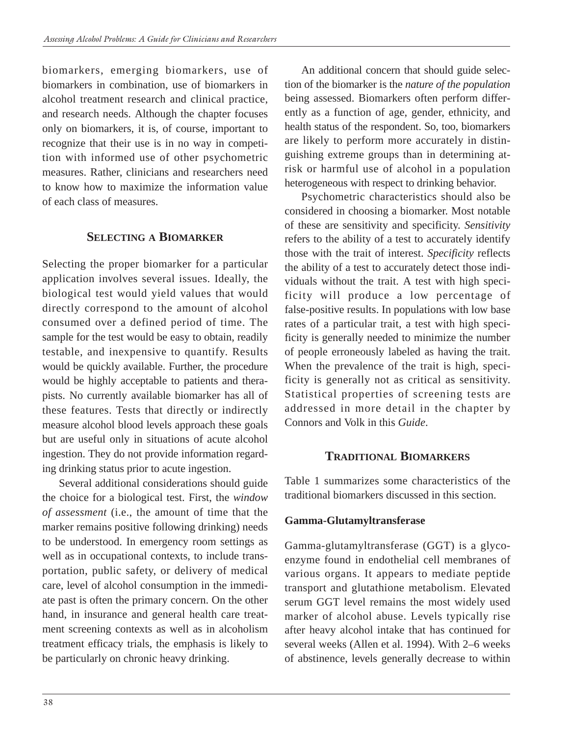biomarkers, emerging biomarkers, use of biomarkers in combination, use of biomarkers in alcohol treatment research and clinical practice, and research needs. Although the chapter focuses only on biomarkers, it is, of course, important to recognize that their use is in no way in competition with informed use of other psychometric measures. Rather, clinicians and researchers need to know how to maximize the information value of each class of measures.

# **SELECTING A BIOMARKER**

Selecting the proper biomarker for a particular application involves several issues. Ideally, the biological test would yield values that would directly correspond to the amount of alcohol consumed over a defined period of time. The sample for the test would be easy to obtain, readily testable, and inexpensive to quantify. Results would be quickly available. Further, the procedure would be highly acceptable to patients and therapists. No currently available biomarker has all of these features. Tests that directly or indirectly measure alcohol blood levels approach these goals but are useful only in situations of acute alcohol ingestion. They do not provide information regarding drinking status prior to acute ingestion.

Several additional considerations should guide the choice for a biological test. First, the *window of assessment* (i.e., the amount of time that the marker remains positive following drinking) needs to be understood. In emergency room settings as well as in occupational contexts, to include transportation, public safety, or delivery of medical care, level of alcohol consumption in the immediate past is often the primary concern. On the other hand, in insurance and general health care treatment screening contexts as well as in alcoholism treatment efficacy trials, the emphasis is likely to be particularly on chronic heavy drinking.

An additional concern that should guide selection of the biomarker is the *nature of the population*  being assessed. Biomarkers often perform differently as a function of age, gender, ethnicity, and health status of the respondent. So, too, biomarkers are likely to perform more accurately in distinguishing extreme groups than in determining atrisk or harmful use of alcohol in a population heterogeneous with respect to drinking behavior.

Psychometric characteristics should also be considered in choosing a biomarker. Most notable of these are sensitivity and specificity. *Sensitivity*  refers to the ability of a test to accurately identify those with the trait of interest. *Specificity* reflects the ability of a test to accurately detect those individuals without the trait. A test with high specificity will produce a low percentage of false-positive results. In populations with low base rates of a particular trait, a test with high specificity is generally needed to minimize the number of people erroneously labeled as having the trait. When the prevalence of the trait is high, specificity is generally not as critical as sensitivity. Statistical properties of screening tests are addressed in more detail in the chapter by Connors and Volk in this *Guide*.

# **TRADITIONAL BIOMARKERS**

Table 1 summarizes some characteristics of the traditional biomarkers discussed in this section.

# **Gamma-Glutamyltransferase**

Gamma-glutamyltransferase (GGT) is a glycoenzyme found in endothelial cell membranes of various organs. It appears to mediate peptide transport and glutathione metabolism. Elevated serum GGT level remains the most widely used marker of alcohol abuse. Levels typically rise after heavy alcohol intake that has continued for several weeks (Allen et al. 1994). With 2–6 weeks of abstinence, levels generally decrease to within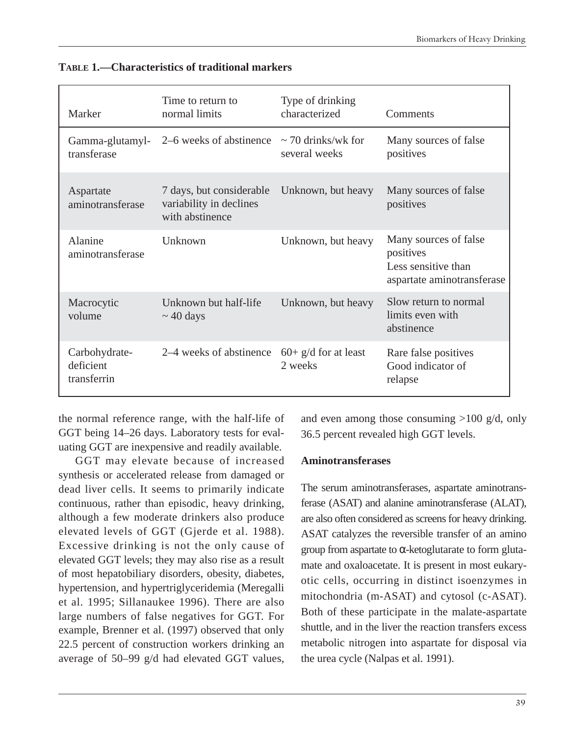| Marker                                    | Time to return to<br>normal limits                                     | Type of drinking<br>characterized        | Comments                                                                                |
|-------------------------------------------|------------------------------------------------------------------------|------------------------------------------|-----------------------------------------------------------------------------------------|
| Gamma-glutamyl-<br>transferase            | 2–6 weeks of abstinence                                                | $\sim$ 70 drinks/wk for<br>several weeks | Many sources of false<br>positives                                                      |
| Aspartate<br>aminotransferase             | 7 days, but considerable<br>variability in declines<br>with abstinence | Unknown, but heavy                       | Many sources of false<br>positives                                                      |
| Alanine<br>aminotransferase               | Unknown                                                                | Unknown, but heavy                       | Many sources of false<br>positives<br>Less sensitive than<br>aspartate aminotransferase |
| Macrocytic<br>volume                      | Unknown but half-life<br>$\sim$ 40 days                                | Unknown, but heavy                       | Slow return to normal<br>limits even with<br>abstinence                                 |
| Carbohydrate-<br>deficient<br>transferrin | 2–4 weeks of abstinence                                                | $60+ g/d$ for at least<br>2 weeks        | Rare false positives<br>Good indicator of<br>relapse                                    |

| <b>TABLE 1.—Characteristics of traditional markers</b> |  |
|--------------------------------------------------------|--|
|--------------------------------------------------------|--|

the normal reference range, with the half-life of GGT being 14–26 days. Laboratory tests for evaluating GGT are inexpensive and readily available.

GGT may elevate because of increased synthesis or accelerated release from damaged or dead liver cells. It seems to primarily indicate continuous, rather than episodic, heavy drinking, although a few moderate drinkers also produce elevated levels of GGT (Gjerde et al. 1988). Excessive drinking is not the only cause of elevated GGT levels; they may also rise as a result of most hepatobiliary disorders, obesity, diabetes, hypertension, and hypertriglyceridemia (Meregalli et al. 1995; Sillanaukee 1996). There are also large numbers of false negatives for GGT. For example, Brenner et al. (1997) observed that only 22.5 percent of construction workers drinking an average of 50–99 g/d had elevated GGT values,

and even among those consuming >100 g/d, only 36.5 percent revealed high GGT levels.

#### **Aminotransferases**

The serum aminotransferases, aspartate aminotransferase (ASAT) and alanine aminotransferase (ALAT), are also often considered as screens for heavy drinking. ASAT catalyzes the reversible transfer of an amino group from aspartate to  $\alpha$ -ketoglutarate to form glutamate and oxaloacetate. It is present in most eukaryotic cells, occurring in distinct isoenzymes in mitochondria (m-ASAT) and cytosol (c-ASAT). Both of these participate in the malate-aspartate shuttle, and in the liver the reaction transfers excess metabolic nitrogen into aspartate for disposal via the urea cycle (Nalpas et al. 1991).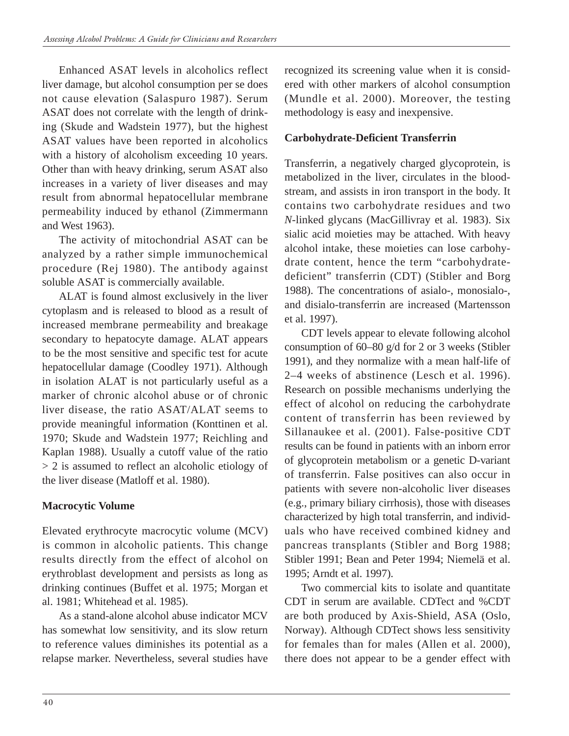Enhanced ASAT levels in alcoholics reflect liver damage, but alcohol consumption per se does not cause elevation (Salaspuro 1987). Serum ASAT does not correlate with the length of drinking (Skude and Wadstein 1977), but the highest ASAT values have been reported in alcoholics with a history of alcoholism exceeding 10 years. Other than with heavy drinking, serum ASAT also increases in a variety of liver diseases and may result from abnormal hepatocellular membrane permeability induced by ethanol (Zimmermann and West 1963).

The activity of mitochondrial ASAT can be analyzed by a rather simple immunochemical procedure (Rej 1980). The antibody against soluble ASAT is commercially available.

ALAT is found almost exclusively in the liver cytoplasm and is released to blood as a result of increased membrane permeability and breakage secondary to hepatocyte damage. ALAT appears to be the most sensitive and specific test for acute hepatocellular damage (Coodley 1971). Although in isolation ALAT is not particularly useful as a marker of chronic alcohol abuse or of chronic liver disease, the ratio ASAT/ALAT seems to provide meaningful information (Konttinen et al. 1970; Skude and Wadstein 1977; Reichling and Kaplan 1988). Usually a cutoff value of the ratio > 2 is assumed to reflect an alcoholic etiology of the liver disease (Matloff et al. 1980).

# **Macrocytic Volume**

Elevated erythrocyte macrocytic volume (MCV) is common in alcoholic patients. This change results directly from the effect of alcohol on erythroblast development and persists as long as drinking continues (Buffet et al. 1975; Morgan et al. 1981; Whitehead et al. 1985).

As a stand-alone alcohol abuse indicator MCV has somewhat low sensitivity, and its slow return to reference values diminishes its potential as a relapse marker. Nevertheless, several studies have recognized its screening value when it is considered with other markers of alcohol consumption (Mundle et al. 2000). Moreover, the testing methodology is easy and inexpensive.

# **Carbohydrate-Deficient Transferrin**

Transferrin, a negatively charged glycoprotein, is metabolized in the liver, circulates in the bloodstream, and assists in iron transport in the body. It contains two carbohydrate residues and two *N*-linked glycans (MacGillivray et al. 1983). Six sialic acid moieties may be attached. With heavy alcohol intake, these moieties can lose carbohydrate content, hence the term "carbohydratedeficient" transferrin (CDT) (Stibler and Borg 1988). The concentrations of asialo-, monosialo-, and disialo-transferrin are increased (Martensson et al. 1997).

CDT levels appear to elevate following alcohol consumption of 60–80 g/d for 2 or 3 weeks (Stibler 1991), and they normalize with a mean half-life of 2–4 weeks of abstinence (Lesch et al. 1996). Research on possible mechanisms underlying the effect of alcohol on reducing the carbohydrate content of transferrin has been reviewed by Sillanaukee et al. (2001). False-positive CDT results can be found in patients with an inborn error of glycoprotein metabolism or a genetic D-variant of transferrin. False positives can also occur in patients with severe non-alcoholic liver diseases (e.g., primary biliary cirrhosis), those with diseases characterized by high total transferrin, and individuals who have received combined kidney and pancreas transplants (Stibler and Borg 1988; Stibler 1991; Bean and Peter 1994; Niemelä et al. 1995; Arndt et al. 1997).

Two commercial kits to isolate and quantitate CDT in serum are available. CDTect and %CDT are both produced by Axis-Shield, ASA (Oslo, Norway). Although CDTect shows less sensitivity for females than for males (Allen et al. 2000), there does not appear to be a gender effect with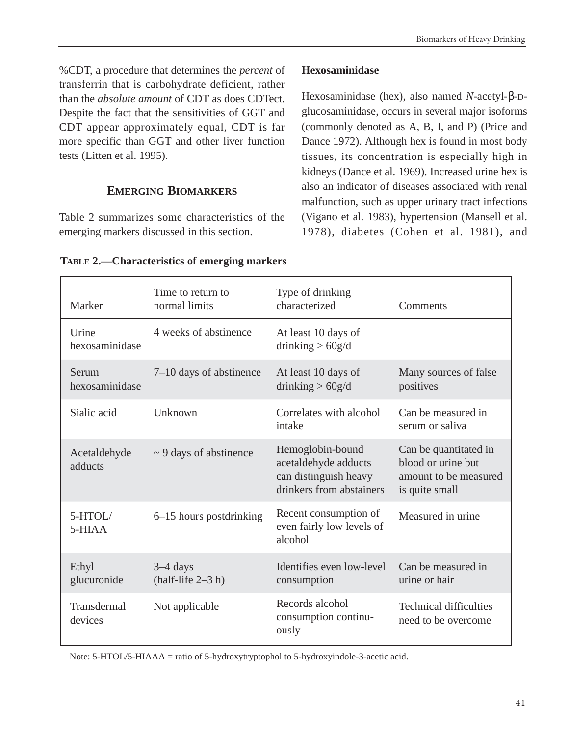%CDT, a procedure that determines the *percent* of transferrin that is carbohydrate deficient, rather than the *absolute amount* of CDT as does CDTect. Despite the fact that the sensitivities of GGT and CDT appear approximately equal, CDT is far more specific than GGT and other liver function tests (Litten et al. 1995).

### **EMERGING BIOMARKERS**

Table 2 summarizes some characteristics of the emerging markers discussed in this section.

### **Hexosaminidase**

Hexosaminidase (hex), also named *N*-acetyl-β-Dglucosaminidase, occurs in several major isoforms (commonly denoted as A, B, I, and P) (Price and Dance 1972). Although hex is found in most body tissues, its concentration is especially high in kidneys (Dance et al. 1969). Increased urine hex is also an indicator of diseases associated with renal malfunction, such as upper urinary tract infections (Vigano et al. 1983), hypertension (Mansell et al. 1978), diabetes (Cohen et al. 1981), and

| Marker                  | Time to return to<br>normal limits | Type of drinking<br>characterized                                                             | Comments                                                                               |
|-------------------------|------------------------------------|-----------------------------------------------------------------------------------------------|----------------------------------------------------------------------------------------|
| Urine<br>hexosaminidase | 4 weeks of abstinence              | At least 10 days of<br>drinking $> 60g/d$                                                     |                                                                                        |
| Serum<br>hexosaminidase | 7–10 days of abstinence            | At least 10 days of<br>drinking $> 60g/d$                                                     | Many sources of false<br>positives                                                     |
| Sialic acid             | Unknown                            | Correlates with alcohol<br>intake                                                             | Can be measured in<br>serum or saliva                                                  |
| Acetaldehyde<br>adducts | $\sim$ 9 days of abstinence        | Hemoglobin-bound<br>acetaldehyde adducts<br>can distinguish heavy<br>drinkers from abstainers | Can be quantitated in<br>blood or urine but<br>amount to be measured<br>is quite small |
| 5-HTOL/<br>5-HIAA       | 6–15 hours postdrinking            | Recent consumption of<br>even fairly low levels of<br>alcohol                                 | Measured in urine                                                                      |
| Ethyl<br>glucuronide    | $3-4$ days<br>$(half-life 2-3 h)$  | Identifies even low-level<br>consumption                                                      | Can be measured in<br>urine or hair                                                    |
| Transdermal<br>devices  | Not applicable                     | Records alcohol<br>consumption continu-<br>ously                                              | <b>Technical difficulties</b><br>need to be overcome                                   |

#### **TABLE 2.—Characteristics of emerging markers**

Note: 5-HTOL/5-HIAAA = ratio of 5-hydroxytryptophol to 5-hydroxyindole-3-acetic acid.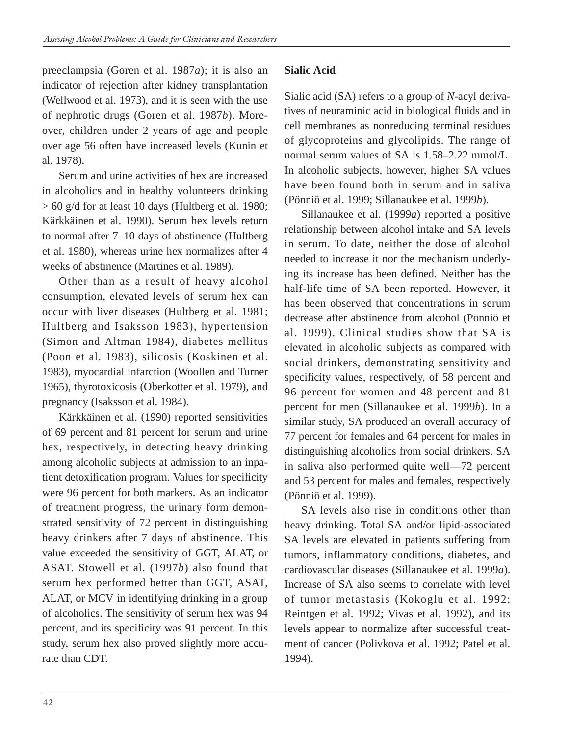preeclampsia (Goren et al. 1987*a*); it is also an indicator of rejection after kidney transplantation (Wellwood et al. 1973), and it is seen with the use of nephrotic drugs (Goren et al. 1987*b*). Moreover, children under 2 years of age and people over age 56 often have increased levels (Kunin et al. 1978).

Serum and urine activities of hex are increased in alcoholics and in healthy volunteers drinking > 60 g/d for at least 10 days (Hultberg et al. 1980; Kärkkäinen et al. 1990). Serum hex levels return to normal after 7–10 days of abstinence (Hultberg et al. 1980), whereas urine hex normalizes after 4 weeks of abstinence (Martines et al. 1989).

Other than as a result of heavy alcohol consumption, elevated levels of serum hex can occur with liver diseases (Hultberg et al. 1981; Hultberg and Isaksson 1983), hypertension (Simon and Altman 1984), diabetes mellitus (Poon et al. 1983), silicosis (Koskinen et al. 1983), myocardial infarction (Woollen and Turner 1965), thyrotoxicosis (Oberkotter et al. 1979), and pregnancy (Isaksson et al. 1984).

Kärkkäinen et al. (1990) reported sensitivities of 69 percent and 81 percent for serum and urine hex, respectively, in detecting heavy drinking among alcoholic subjects at admission to an inpatient detoxification program. Values for specificity were 96 percent for both markers. As an indicator of treatment progress, the urinary form demonstrated sensitivity of 72 percent in distinguishing heavy drinkers after 7 days of abstinence. This value exceeded the sensitivity of GGT, ALAT, or ASAT. Stowell et al. (1997*b*) also found that serum hex performed better than GGT, ASAT, ALAT, or MCV in identifying drinking in a group of alcoholics. The sensitivity of serum hex was 94 percent, and its specificity was 91 percent. In this study, serum hex also proved slightly more accurate than CDT.

# **Sialic Acid**

Sialic acid (SA) refers to a group of *N*-acyl derivatives of neuraminic acid in biological fluids and in cell membranes as nonreducing terminal residues of glycoproteins and glycolipids. The range of normal serum values of SA is 1.58–2.22 mmol/L. In alcoholic subjects, however, higher SA values have been found both in serum and in saliva (Pönniö et al. 1999; Sillanaukee et al. 1999*b*).

Sillanaukee et al. (1999*a*) reported a positive relationship between alcohol intake and SA levels in serum. To date, neither the dose of alcohol needed to increase it nor the mechanism underlying its increase has been defined. Neither has the half-life time of SA been reported. However, it has been observed that concentrations in serum decrease after abstinence from alcohol (Pönniö et al. 1999). Clinical studies show that SA is elevated in alcoholic subjects as compared with social drinkers, demonstrating sensitivity and specificity values, respectively, of 58 percent and 96 percent for women and 48 percent and 81 percent for men (Sillanaukee et al. 1999*b*). In a similar study, SA produced an overall accuracy of 77 percent for females and 64 percent for males in distinguishing alcoholics from social drinkers. SA in saliva also performed quite well—72 percent and 53 percent for males and females, respectively (Pönniö et al. 1999).

SA levels also rise in conditions other than heavy drinking. Total SA and/or lipid-associated SA levels are elevated in patients suffering from tumors, inflammatory conditions, diabetes, and cardiovascular diseases (Sillanaukee et al. 1999*a*). Increase of SA also seems to correlate with level of tumor metastasis (Kokoglu et al. 1992; Reintgen et al. 1992; Vivas et al. 1992), and its levels appear to normalize after successful treatment of cancer (Polivkova et al. 1992; Patel et al. 1994).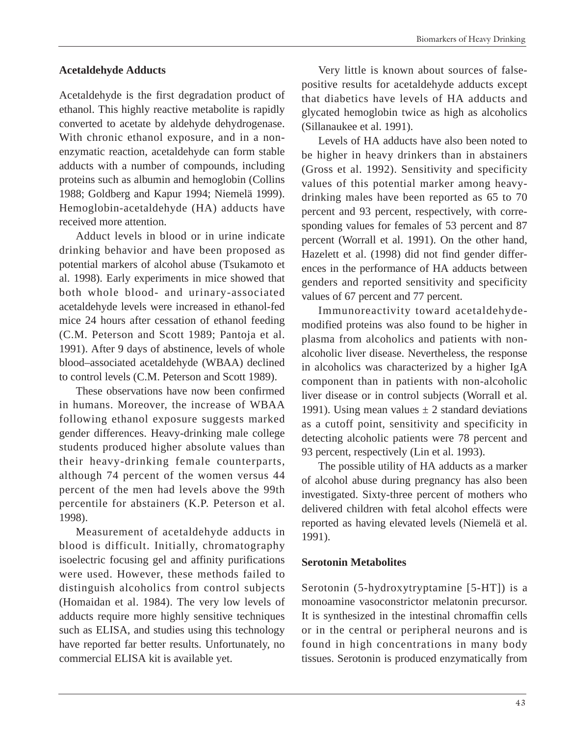#### **Acetaldehyde Adducts**

Acetaldehyde is the first degradation product of ethanol. This highly reactive metabolite is rapidly converted to acetate by aldehyde dehydrogenase. With chronic ethanol exposure, and in a nonenzymatic reaction, acetaldehyde can form stable adducts with a number of compounds, including proteins such as albumin and hemoglobin (Collins 1988; Goldberg and Kapur 1994; Niemelä 1999). Hemoglobin-acetaldehyde (HA) adducts have received more attention.

Adduct levels in blood or in urine indicate drinking behavior and have been proposed as potential markers of alcohol abuse (Tsukamoto et al. 1998). Early experiments in mice showed that both whole blood- and urinary-associated acetaldehyde levels were increased in ethanol-fed mice 24 hours after cessation of ethanol feeding (C.M. Peterson and Scott 1989; Pantoja et al. 1991). After 9 days of abstinence, levels of whole blood–associated acetaldehyde (WBAA) declined to control levels (C.M. Peterson and Scott 1989).

These observations have now been confirmed in humans. Moreover, the increase of WBAA following ethanol exposure suggests marked gender differences. Heavy-drinking male college students produced higher absolute values than their heavy-drinking female counterparts, although 74 percent of the women versus 44 percent of the men had levels above the 99th percentile for abstainers (K.P. Peterson et al. 1998).

Measurement of acetaldehyde adducts in blood is difficult. Initially, chromatography isoelectric focusing gel and affinity purifications were used. However, these methods failed to distinguish alcoholics from control subjects (Homaidan et al. 1984). The very low levels of adducts require more highly sensitive techniques such as ELISA, and studies using this technology have reported far better results. Unfortunately, no commercial ELISA kit is available yet.

Very little is known about sources of falsepositive results for acetaldehyde adducts except that diabetics have levels of HA adducts and glycated hemoglobin twice as high as alcoholics (Sillanaukee et al. 1991).

Levels of HA adducts have also been noted to be higher in heavy drinkers than in abstainers (Gross et al. 1992). Sensitivity and specificity values of this potential marker among heavydrinking males have been reported as 65 to 70 percent and 93 percent, respectively, with corresponding values for females of 53 percent and 87 percent (Worrall et al. 1991). On the other hand, Hazelett et al. (1998) did not find gender differences in the performance of HA adducts between genders and reported sensitivity and specificity values of 67 percent and 77 percent.

Immunoreactivity toward acetaldehydemodified proteins was also found to be higher in plasma from alcoholics and patients with nonalcoholic liver disease. Nevertheless, the response in alcoholics was characterized by a higher IgA component than in patients with non-alcoholic liver disease or in control subjects (Worrall et al. 1991). Using mean values  $\pm 2$  standard deviations as a cutoff point, sensitivity and specificity in detecting alcoholic patients were 78 percent and 93 percent, respectively (Lin et al. 1993).

The possible utility of HA adducts as a marker of alcohol abuse during pregnancy has also been investigated. Sixty-three percent of mothers who delivered children with fetal alcohol effects were reported as having elevated levels (Niemelä et al. 1991).

#### **Serotonin Metabolites**

Serotonin (5-hydroxytryptamine [5-HT]) is a monoamine vasoconstrictor melatonin precursor. It is synthesized in the intestinal chromaffin cells or in the central or peripheral neurons and is found in high concentrations in many body tissues. Serotonin is produced enzymatically from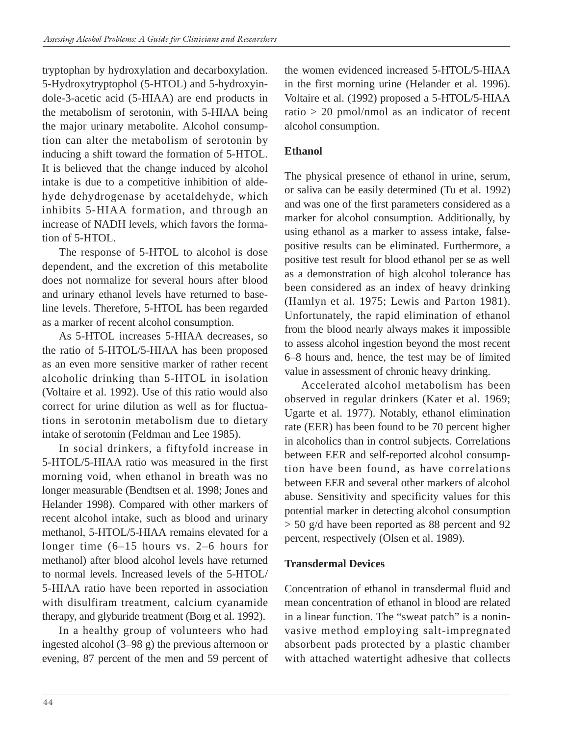tryptophan by hydroxylation and decarboxylation. 5-Hydroxytryptophol (5-HTOL) and 5-hydroxyindole-3-acetic acid (5-HIAA) are end products in the metabolism of serotonin, with 5-HIAA being the major urinary metabolite. Alcohol consumption can alter the metabolism of serotonin by inducing a shift toward the formation of 5-HTOL. It is believed that the change induced by alcohol intake is due to a competitive inhibition of aldehyde dehydrogenase by acetaldehyde, which inhibits 5-HIAA formation, and through an increase of NADH levels, which favors the formation of 5-HTOL.

The response of 5-HTOL to alcohol is dose dependent, and the excretion of this metabolite does not normalize for several hours after blood and urinary ethanol levels have returned to baseline levels. Therefore, 5-HTOL has been regarded as a marker of recent alcohol consumption.

As 5-HTOL increases 5-HIAA decreases, so the ratio of 5-HTOL/5-HIAA has been proposed as an even more sensitive marker of rather recent alcoholic drinking than 5-HTOL in isolation (Voltaire et al. 1992). Use of this ratio would also correct for urine dilution as well as for fluctuations in serotonin metabolism due to dietary intake of serotonin (Feldman and Lee 1985).

In social drinkers, a fiftyfold increase in 5-HTOL/5-HIAA ratio was measured in the first morning void, when ethanol in breath was no longer measurable (Bendtsen et al. 1998; Jones and Helander 1998). Compared with other markers of recent alcohol intake, such as blood and urinary methanol, 5-HTOL/5-HIAA remains elevated for a longer time (6–15 hours vs. 2–6 hours for methanol) after blood alcohol levels have returned to normal levels. Increased levels of the 5-HTOL/ 5-HIAA ratio have been reported in association with disulfiram treatment, calcium cyanamide therapy, and glyburide treatment (Borg et al. 1992).

In a healthy group of volunteers who had ingested alcohol (3–98 g) the previous afternoon or evening, 87 percent of the men and 59 percent of the women evidenced increased 5-HTOL/5-HIAA in the first morning urine (Helander et al. 1996). Voltaire et al. (1992) proposed a 5-HTOL/5-HIAA ratio > 20 pmol/nmol as an indicator of recent alcohol consumption.

### **Ethanol**

The physical presence of ethanol in urine, serum, or saliva can be easily determined (Tu et al. 1992) and was one of the first parameters considered as a marker for alcohol consumption. Additionally, by using ethanol as a marker to assess intake, falsepositive results can be eliminated. Furthermore, a positive test result for blood ethanol per se as well as a demonstration of high alcohol tolerance has been considered as an index of heavy drinking (Hamlyn et al. 1975; Lewis and Parton 1981). Unfortunately, the rapid elimination of ethanol from the blood nearly always makes it impossible to assess alcohol ingestion beyond the most recent 6–8 hours and, hence, the test may be of limited value in assessment of chronic heavy drinking.

Accelerated alcohol metabolism has been observed in regular drinkers (Kater et al. 1969; Ugarte et al. 1977). Notably, ethanol elimination rate (EER) has been found to be 70 percent higher in alcoholics than in control subjects. Correlations between EER and self-reported alcohol consumption have been found, as have correlations between EER and several other markers of alcohol abuse. Sensitivity and specificity values for this potential marker in detecting alcohol consumption > 50 g/d have been reported as 88 percent and 92 percent, respectively (Olsen et al. 1989).

### **Transdermal Devices**

Concentration of ethanol in transdermal fluid and mean concentration of ethanol in blood are related in a linear function. The "sweat patch" is a noninvasive method employing salt-impregnated absorbent pads protected by a plastic chamber with attached watertight adhesive that collects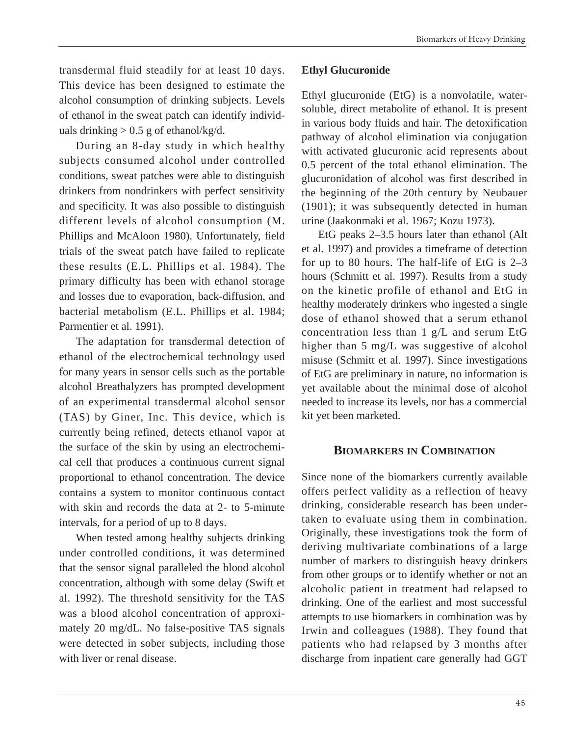transdermal fluid steadily for at least 10 days. This device has been designed to estimate the alcohol consumption of drinking subjects. Levels of ethanol in the sweat patch can identify individuals drinking  $> 0.5$  g of ethanol/kg/d.

During an 8-day study in which healthy subjects consumed alcohol under controlled conditions, sweat patches were able to distinguish drinkers from nondrinkers with perfect sensitivity and specificity. It was also possible to distinguish different levels of alcohol consumption (M. Phillips and McAloon 1980). Unfortunately, field trials of the sweat patch have failed to replicate these results (E.L. Phillips et al. 1984). The primary difficulty has been with ethanol storage and losses due to evaporation, back-diffusion, and bacterial metabolism (E.L. Phillips et al. 1984; Parmentier et al. 1991).

The adaptation for transdermal detection of ethanol of the electrochemical technology used for many years in sensor cells such as the portable alcohol Breathalyzers has prompted development of an experimental transdermal alcohol sensor (TAS) by Giner, Inc. This device, which is currently being refined, detects ethanol vapor at the surface of the skin by using an electrochemical cell that produces a continuous current signal proportional to ethanol concentration. The device contains a system to monitor continuous contact with skin and records the data at 2- to 5-minute intervals, for a period of up to 8 days.

When tested among healthy subjects drinking under controlled conditions, it was determined that the sensor signal paralleled the blood alcohol concentration, although with some delay (Swift et al. 1992). The threshold sensitivity for the TAS was a blood alcohol concentration of approximately 20 mg/dL. No false-positive TAS signals were detected in sober subjects, including those with liver or renal disease.

### **Ethyl Glucuronide**

Ethyl glucuronide (EtG) is a nonvolatile, watersoluble, direct metabolite of ethanol. It is present in various body fluids and hair. The detoxification pathway of alcohol elimination via conjugation with activated glucuronic acid represents about 0.5 percent of the total ethanol elimination. The glucuronidation of alcohol was first described in the beginning of the 20th century by Neubauer (1901); it was subsequently detected in human urine (Jaakonmaki et al. 1967; Kozu 1973).

EtG peaks 2–3.5 hours later than ethanol (Alt et al. 1997) and provides a timeframe of detection for up to 80 hours. The half-life of EtG is 2–3 hours (Schmitt et al. 1997). Results from a study on the kinetic profile of ethanol and EtG in healthy moderately drinkers who ingested a single dose of ethanol showed that a serum ethanol concentration less than 1 g/L and serum EtG higher than 5 mg/L was suggestive of alcohol misuse (Schmitt et al. 1997). Since investigations of EtG are preliminary in nature, no information is yet available about the minimal dose of alcohol needed to increase its levels, nor has a commercial kit yet been marketed.

#### **BIOMARKERS IN COMBINATION**

Since none of the biomarkers currently available offers perfect validity as a reflection of heavy drinking, considerable research has been undertaken to evaluate using them in combination. Originally, these investigations took the form of deriving multivariate combinations of a large number of markers to distinguish heavy drinkers from other groups or to identify whether or not an alcoholic patient in treatment had relapsed to drinking. One of the earliest and most successful attempts to use biomarkers in combination was by Irwin and colleagues (1988). They found that patients who had relapsed by 3 months after discharge from inpatient care generally had GGT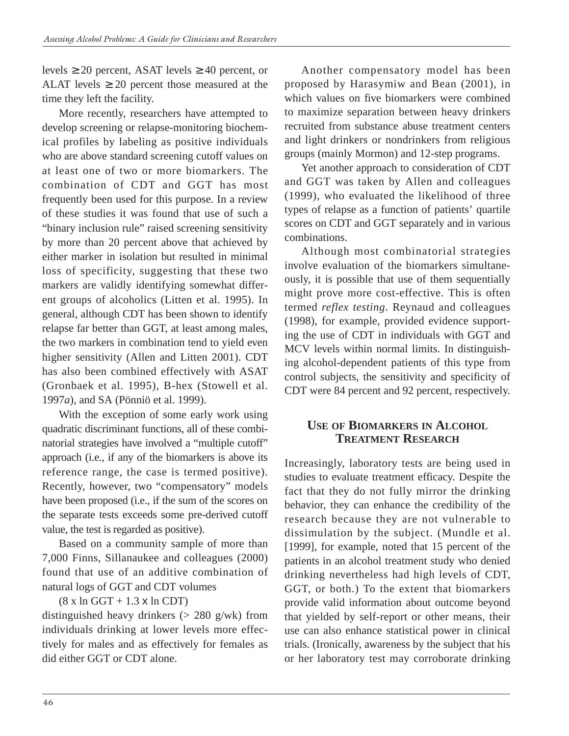levels  $\geq 20$  percent, ASAT levels  $\geq 40$  percent, or ALAT levels  $\geq 20$  percent those measured at the time they left the facility.

More recently, researchers have attempted to develop screening or relapse-monitoring biochemical profiles by labeling as positive individuals who are above standard screening cutoff values on at least one of two or more biomarkers. The combination of CDT and GGT has most frequently been used for this purpose. In a review of these studies it was found that use of such a "binary inclusion rule" raised screening sensitivity by more than 20 percent above that achieved by either marker in isolation but resulted in minimal loss of specificity, suggesting that these two markers are validly identifying somewhat different groups of alcoholics (Litten et al. 1995). In general, although CDT has been shown to identify relapse far better than GGT, at least among males, the two markers in combination tend to yield even higher sensitivity (Allen and Litten 2001). CDT has also been combined effectively with ASAT (Gronbaek et al. 1995), B-hex (Stowell et al. 1997*a*), and SA (Pönniö et al. 1999).

With the exception of some early work using quadratic discriminant functions, all of these combinatorial strategies have involved a "multiple cutoff" approach (i.e., if any of the biomarkers is above its reference range, the case is termed positive). Recently, however, two "compensatory" models have been proposed (i.e., if the sum of the scores on the separate tests exceeds some pre-derived cutoff value, the test is regarded as positive).

Based on a community sample of more than 7,000 Finns, Sillanaukee and colleagues (2000) found that use of an additive combination of natural logs of GGT and CDT volumes

 $(8 \times \ln GGT + 1.3 \times \ln CDT)$ 

distinguished heavy drinkers ( $> 280$  g/wk) from individuals drinking at lower levels more effectively for males and as effectively for females as did either GGT or CDT alone.

Another compensatory model has been proposed by Harasymiw and Bean (2001), in which values on five biomarkers were combined to maximize separation between heavy drinkers recruited from substance abuse treatment centers and light drinkers or nondrinkers from religious groups (mainly Mormon) and 12-step programs.

Yet another approach to consideration of CDT and GGT was taken by Allen and colleagues (1999), who evaluated the likelihood of three types of relapse as a function of patients' quartile scores on CDT and GGT separately and in various combinations.

Although most combinatorial strategies involve evaluation of the biomarkers simultaneously, it is possible that use of them sequentially might prove more cost-effective. This is often termed *reflex testing*. Reynaud and colleagues (1998), for example, provided evidence supporting the use of CDT in individuals with GGT and MCV levels within normal limits. In distinguishing alcohol-dependent patients of this type from control subjects, the sensitivity and specificity of CDT were 84 percent and 92 percent, respectively.

### **USE OF BIOMARKERS IN ALCOHOL TREATMENT RESEARCH**

Increasingly, laboratory tests are being used in studies to evaluate treatment efficacy. Despite the fact that they do not fully mirror the drinking behavior, they can enhance the credibility of the research because they are not vulnerable to dissimulation by the subject. (Mundle et al. [1999], for example, noted that 15 percent of the patients in an alcohol treatment study who denied drinking nevertheless had high levels of CDT, GGT, or both.) To the extent that biomarkers provide valid information about outcome beyond that yielded by self-report or other means, their use can also enhance statistical power in clinical trials. (Ironically, awareness by the subject that his or her laboratory test may corroborate drinking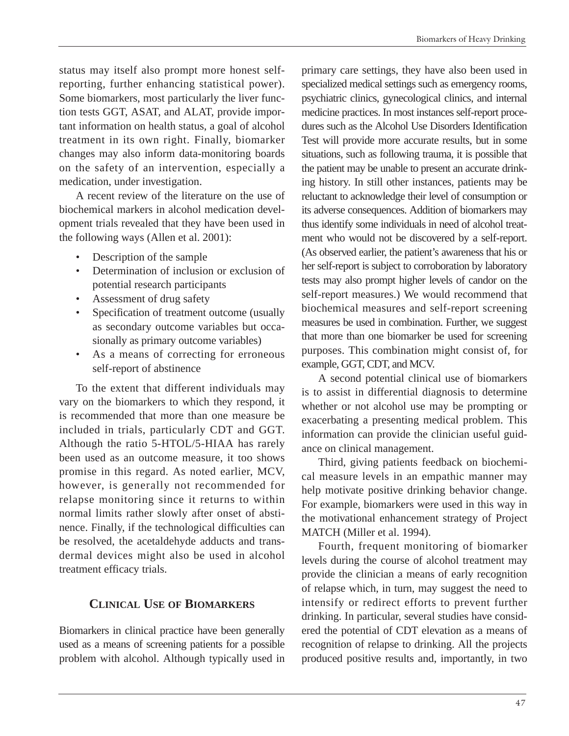status may itself also prompt more honest selfreporting, further enhancing statistical power). Some biomarkers, most particularly the liver function tests GGT, ASAT, and ALAT, provide important information on health status, a goal of alcohol treatment in its own right. Finally, biomarker changes may also inform data-monitoring boards on the safety of an intervention, especially a medication, under investigation.

A recent review of the literature on the use of biochemical markers in alcohol medication development trials revealed that they have been used in the following ways (Allen et al. 2001):

- Description of the sample
- • Determination of inclusion or exclusion of potential research participants
- Assessment of drug safety
- Specification of treatment outcome (usually as secondary outcome variables but occasionally as primary outcome variables)
- As a means of correcting for erroneous self-report of abstinence

To the extent that different individuals may vary on the biomarkers to which they respond, it is recommended that more than one measure be included in trials, particularly CDT and GGT. Although the ratio 5-HTOL/5-HIAA has rarely been used as an outcome measure, it too shows promise in this regard. As noted earlier, MCV, however, is generally not recommended for relapse monitoring since it returns to within normal limits rather slowly after onset of abstinence. Finally, if the technological difficulties can be resolved, the acetaldehyde adducts and transdermal devices might also be used in alcohol treatment efficacy trials.

# **CLINICAL USE OF BIOMARKERS**

Biomarkers in clinical practice have been generally used as a means of screening patients for a possible problem with alcohol. Although typically used in

primary care settings, they have also been used in specialized medical settings such as emergency rooms, psychiatric clinics, gynecological clinics, and internal medicine practices. In most instances self-report procedures such as the Alcohol Use Disorders Identification Test will provide more accurate results, but in some situations, such as following trauma, it is possible that the patient may be unable to present an accurate drinking history. In still other instances, patients may be reluctant to acknowledge their level of consumption or its adverse consequences. Addition of biomarkers may thus identify some individuals in need of alcohol treatment who would not be discovered by a self-report. (As observed earlier, the patient's awareness that his or her self-report is subject to corroboration by laboratory tests may also prompt higher levels of candor on the self-report measures.) We would recommend that biochemical measures and self-report screening measures be used in combination. Further, we suggest that more than one biomarker be used for screening purposes. This combination might consist of, for example, GGT, CDT, and MCV.

A second potential clinical use of biomarkers is to assist in differential diagnosis to determine whether or not alcohol use may be prompting or exacerbating a presenting medical problem. This information can provide the clinician useful guidance on clinical management.

Third, giving patients feedback on biochemical measure levels in an empathic manner may help motivate positive drinking behavior change. For example, biomarkers were used in this way in the motivational enhancement strategy of Project MATCH (Miller et al. 1994).

Fourth, frequent monitoring of biomarker levels during the course of alcohol treatment may provide the clinician a means of early recognition of relapse which, in turn, may suggest the need to intensify or redirect efforts to prevent further drinking. In particular, several studies have considered the potential of CDT elevation as a means of recognition of relapse to drinking. All the projects produced positive results and, importantly, in two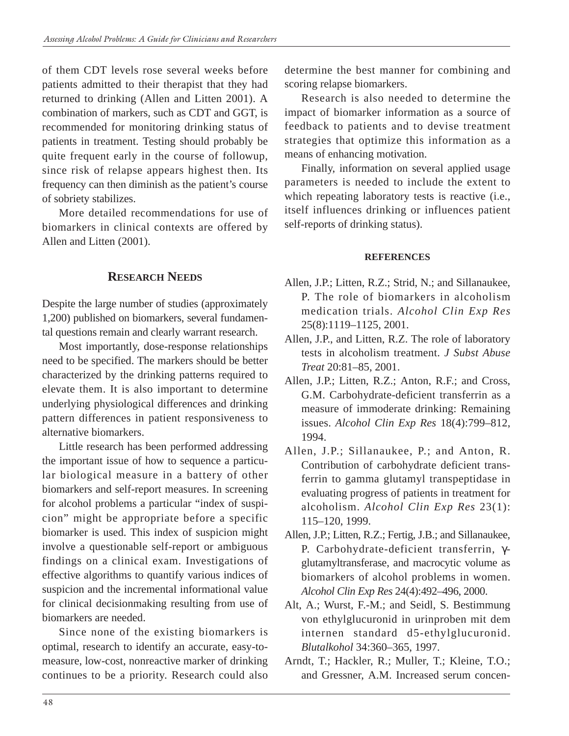of them CDT levels rose several weeks before patients admitted to their therapist that they had returned to drinking (Allen and Litten 2001). A combination of markers, such as CDT and GGT, is recommended for monitoring drinking status of patients in treatment. Testing should probably be quite frequent early in the course of followup, since risk of relapse appears highest then. Its frequency can then diminish as the patient's course of sobriety stabilizes.

More detailed recommendations for use of biomarkers in clinical contexts are offered by Allen and Litten (2001).

# **RESEARCH NEEDS**

Despite the large number of studies (approximately 1,200) published on biomarkers, several fundamental questions remain and clearly warrant research.

Most importantly, dose-response relationships need to be specified. The markers should be better characterized by the drinking patterns required to elevate them. It is also important to determine underlying physiological differences and drinking pattern differences in patient responsiveness to alternative biomarkers.

Little research has been performed addressing the important issue of how to sequence a particular biological measure in a battery of other biomarkers and self-report measures. In screening for alcohol problems a particular "index of suspicion" might be appropriate before a specific biomarker is used. This index of suspicion might involve a questionable self-report or ambiguous findings on a clinical exam. Investigations of effective algorithms to quantify various indices of suspicion and the incremental informational value for clinical decisionmaking resulting from use of biomarkers are needed.

Since none of the existing biomarkers is optimal, research to identify an accurate, easy-tomeasure, low-cost, nonreactive marker of drinking continues to be a priority. Research could also determine the best manner for combining and scoring relapse biomarkers.

Research is also needed to determine the impact of biomarker information as a source of feedback to patients and to devise treatment strategies that optimize this information as a means of enhancing motivation.

Finally, information on several applied usage parameters is needed to include the extent to which repeating laboratory tests is reactive (i.e., itself influences drinking or influences patient self-reports of drinking status).

#### **REFERENCES**

- Allen, J.P.; Litten, R.Z.; Strid, N.; and Sillanaukee, P. The role of biomarkers in alcoholism medication trials. *Alcohol Clin Exp Res*  25(8):1119–1125, 2001.
- Allen, J.P., and Litten, R.Z. The role of laboratory tests in alcoholism treatment. *J Subst Abuse Treat* 20:81–85, 2001.
- Allen, J.P.; Litten, R.Z.; Anton, R.F.; and Cross, G.M. Carbohydrate-deficient transferrin as a measure of immoderate drinking: Remaining issues. *Alcohol Clin Exp Res* 18(4):799–812, 1994.
- Allen, J.P.; Sillanaukee, P.; and Anton, R. Contribution of carbohydrate deficient transferrin to gamma glutamyl transpeptidase in evaluating progress of patients in treatment for alcoholism. *Alcohol Clin Exp Res* 23(1): 115–120, 1999.
- Allen, J.P.; Litten, R.Z.; Fertig, J.B.; and Sillanaukee, P. Carbohydrate-deficient transferrin, γglutamyltransferase, and macrocytic volume as biomarkers of alcohol problems in women. *Alcohol Clin Exp Res* 24(4):492–496, 2000.
- Alt, A.; Wurst, F.-M.; and Seidl, S. Bestimmung von ethylglucuronid in urinproben mit dem internen standard d5-ethylglucuronid. *Blutalkohol* 34:360–365, 1997.
- Arndt, T.; Hackler, R.; Muller, T.; Kleine, T.O.; and Gressner, A.M. Increased serum concen-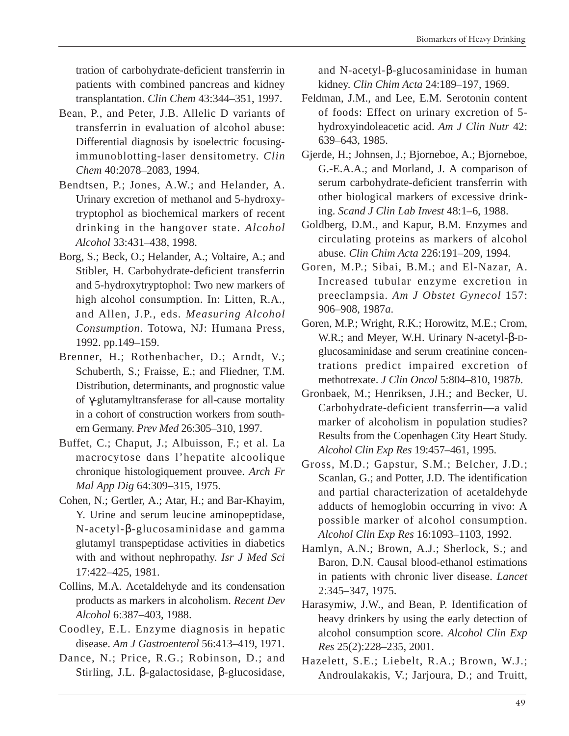tration of carbohydrate-deficient transferrin in patients with combined pancreas and kidney transplantation. *Clin Chem* 43:344–351, 1997.

- Bean, P., and Peter, J.B. Allelic D variants of transferrin in evaluation of alcohol abuse: Differential diagnosis by isoelectric focusingimmunoblotting-laser densitometry. *Clin Chem* 40:2078–2083, 1994.
- Bendtsen, P.; Jones, A.W.; and Helander, A. Urinary excretion of methanol and 5-hydroxytryptophol as biochemical markers of recent drinking in the hangover state. *Alcohol Alcohol* 33:431–438, 1998.
- Borg, S.; Beck, O.; Helander, A.; Voltaire, A.; and Stibler, H. Carbohydrate-deficient transferrin and 5-hydroxytryptophol: Two new markers of high alcohol consumption. In: Litten, R.A., and Allen, J.P., eds. *Measuring Alcohol Consumption*. Totowa, NJ: Humana Press, 1992. pp.149–159.
- Brenner, H.; Rothenbacher, D.; Arndt, V.; Schuberth, S.; Fraisse, E.; and Fliedner, T.M. Distribution, determinants, and prognostic value of γ-glutamyltransferase for all-cause mortality in a cohort of construction workers from southern Germany. *Prev Med* 26:305–310, 1997.
- Buffet, C.; Chaput, J.; Albuisson, F.; et al. La macrocytose dans l'hepatite alcoolique chronique histologiquement prouvee. *Arch Fr Mal App Dig* 64:309–315, 1975.
- Cohen, N.; Gertler, A.; Atar, H.; and Bar-Khayim, Y. Urine and serum leucine aminopeptidase, N-acetyl-β-glucosaminidase and gamma glutamyl transpeptidase activities in diabetics with and without nephropathy. *Isr J Med Sci*  17:422–425, 1981.
- Collins, M.A. Acetaldehyde and its condensation products as markers in alcoholism. *Recent Dev Alcohol* 6:387–403, 1988.
- Coodley, E.L. Enzyme diagnosis in hepatic disease. *Am J Gastroenterol* 56:413–419, 1971.
- Dance, N.; Price, R.G.; Robinson, D.; and Stirling, J.L. β-galactosidase, β-glucosidase,

and N-acetyl-β-glucosaminidase in human kidney. *Clin Chim Acta* 24:189–197, 1969.

- Feldman, J.M., and Lee, E.M. Serotonin content of foods: Effect on urinary excretion of 5 hydroxyindoleacetic acid. *Am J Clin Nutr* 42: 639–643, 1985.
- Gjerde, H.; Johnsen, J.; Bjorneboe, A.; Bjorneboe, G.-E.A.A.; and Morland, J. A comparison of serum carbohydrate-deficient transferrin with other biological markers of excessive drinking. *Scand J Clin Lab Invest* 48:1–6, 1988.
- Goldberg, D.M., and Kapur, B.M. Enzymes and circulating proteins as markers of alcohol abuse. *Clin Chim Acta* 226:191–209, 1994.
- Goren, M.P.; Sibai, B.M.; and El-Nazar, A. Increased tubular enzyme excretion in preeclampsia. *Am J Obstet Gynecol* 157: 906–908, 1987*a*.
- Goren, M.P.; Wright, R.K.; Horowitz, M.E.; Crom, W.R.; and Meyer, W.H. Urinary N-acetyl-β-Dglucosaminidase and serum creatinine concentrations predict impaired excretion of methotrexate. *J Clin Oncol* 5:804–810, 1987*b*.
- Gronbaek, M.; Henriksen, J.H.; and Becker, U. Carbohydrate-deficient transferrin—a valid marker of alcoholism in population studies? Results from the Copenhagen City Heart Study. *Alcohol Clin Exp Res* 19:457–461, 1995.
- Gross, M.D.; Gapstur, S.M.; Belcher, J.D.; Scanlan, G.; and Potter, J.D. The identification and partial characterization of acetaldehyde adducts of hemoglobin occurring in vivo: A possible marker of alcohol consumption. *Alcohol Clin Exp Res* 16:1093–1103, 1992.
- Hamlyn, A.N.; Brown, A.J.; Sherlock, S.; and Baron, D.N. Causal blood-ethanol estimations in patients with chronic liver disease. *Lancet*  2:345–347, 1975.
- Harasymiw, J.W., and Bean, P. Identification of heavy drinkers by using the early detection of alcohol consumption score. *Alcohol Clin Exp Res* 25(2):228–235, 2001.
- Hazelett, S.E.; Liebelt, R.A.; Brown, W.J.; Androulakakis, V.; Jarjoura, D.; and Truitt,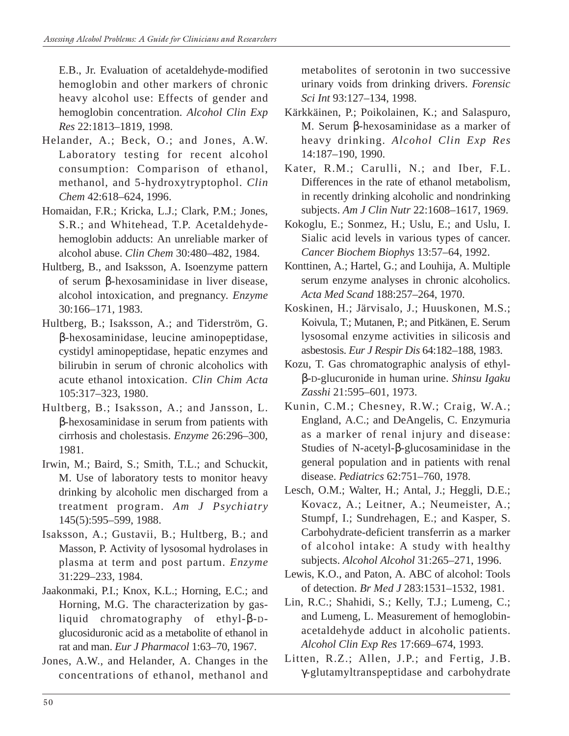E.B., Jr. Evaluation of acetaldehyde-modified hemoglobin and other markers of chronic heavy alcohol use: Effects of gender and hemoglobin concentration*. Alcohol Clin Exp Res* 22:1813–1819, 1998.

- Helander, A.; Beck, O.; and Jones, A.W. Laboratory testing for recent alcohol consumption: Comparison of ethanol, methanol, and 5-hydroxytryptophol. *Clin Chem* 42:618–624, 1996.
- Homaidan, F.R.; Kricka, L.J.; Clark, P.M.; Jones, S.R.; and Whitehead, T.P. Acetaldehydehemoglobin adducts: An unreliable marker of alcohol abuse. *Clin Chem* 30:480–482, 1984.
- Hultberg, B., and Isaksson, A. Isoenzyme pattern of serum β-hexosaminidase in liver disease, alcohol intoxication, and pregnancy. *Enzyme*  30:166–171, 1983.
- Hultberg, B.; Isaksson, A.; and Tiderström, G. β-hexosaminidase, leucine aminopeptidase, cystidyl aminopeptidase, hepatic enzymes and bilirubin in serum of chronic alcoholics with acute ethanol intoxication. *Clin Chim Acta*  105:317–323, 1980.
- Hultberg, B.; Isaksson, A.; and Jansson, L. β-hexosaminidase in serum from patients with cirrhosis and cholestasis. *Enzyme* 26:296–300, 1981.
- Irwin, M.; Baird, S.; Smith, T.L.; and Schuckit, M. Use of laboratory tests to monitor heavy drinking by alcoholic men discharged from a treatment program. *Am J Psychiatry*  145(5):595–599, 1988.
- Isaksson, A.; Gustavii, B.; Hultberg, B.; and Masson, P. Activity of lysosomal hydrolases in plasma at term and post partum. *Enzyme*  31:229–233, 1984.
- Jaakonmaki, P.I.; Knox, K.L.; Horning, E.C.; and Horning, M.G. The characterization by gasliquid chromatography of ethyl-β-Dglucosiduronic acid as a metabolite of ethanol in rat and man. *Eur J Pharmacol* 1:63–70, 1967.
- Jones, A.W., and Helander, A. Changes in the concentrations of ethanol, methanol and

metabolites of serotonin in two successive urinary voids from drinking drivers. *Forensic Sci Int* 93:127–134, 1998.

- Kärkkäinen, P.; Poikolainen, K.; and Salaspuro, M. Serum β-hexosaminidase as a marker of heavy drinking. *Alcohol Clin Exp Res*  14:187–190, 1990.
- Kater, R.M.; Carulli, N.; and Iber, F.L. Differences in the rate of ethanol metabolism, in recently drinking alcoholic and nondrinking subjects. *Am J Clin Nutr* 22:1608–1617, 1969.
- Kokoglu, E.; Sonmez, H.; Uslu, E.; and Uslu, I. Sialic acid levels in various types of cancer. *Cancer Biochem Biophys* 13:57–64, 1992.
- Konttinen, A.; Hartel, G.; and Louhija, A. Multiple serum enzyme analyses in chronic alcoholics. *Acta Med Scand* 188:257–264, 1970.
- Koskinen, H.; Järvisalo, J.; Huuskonen, M.S.; Koivula, T.; Mutanen, P.; and Pitkänen, E. Serum lysosomal enzyme activities in silicosis and asbestosis. *Eur J Respir Dis* 64:182–188, 1983.
- Kozu, T. Gas chromatographic analysis of ethylβ-D-glucuronide in human urine. *Shinsu Igaku Zasshi* 21:595–601, 1973.
- Kunin, C.M.; Chesney, R.W.; Craig, W.A.; England, A.C.; and DeAngelis, C. Enzymuria as a marker of renal injury and disease: Studies of N-acetyl-β-glucosaminidase in the general population and in patients with renal disease. *Pediatrics* 62:751–760, 1978.
- Lesch, O.M.; Walter, H.; Antal, J.; Heggli, D.E.; Kovacz, A.; Leitner, A.; Neumeister, A.; Stumpf, I.; Sundrehagen, E.; and Kasper, S. Carbohydrate-deficient transferrin as a marker of alcohol intake: A study with healthy subjects. *Alcohol Alcohol* 31:265–271, 1996.
- Lewis, K.O., and Paton, A. ABC of alcohol: Tools of detection. *Br Med J* 283:1531–1532, 1981.
- Lin, R.C.; Shahidi, S.; Kelly, T.J.; Lumeng, C.; and Lumeng, L. Measurement of hemoglobinacetaldehyde adduct in alcoholic patients. *Alcohol Clin Exp Res* 17:669–674, 1993.
- Litten, R.Z.; Allen, J.P.; and Fertig, J.B. γ-glutamyltranspeptidase and carbohydrate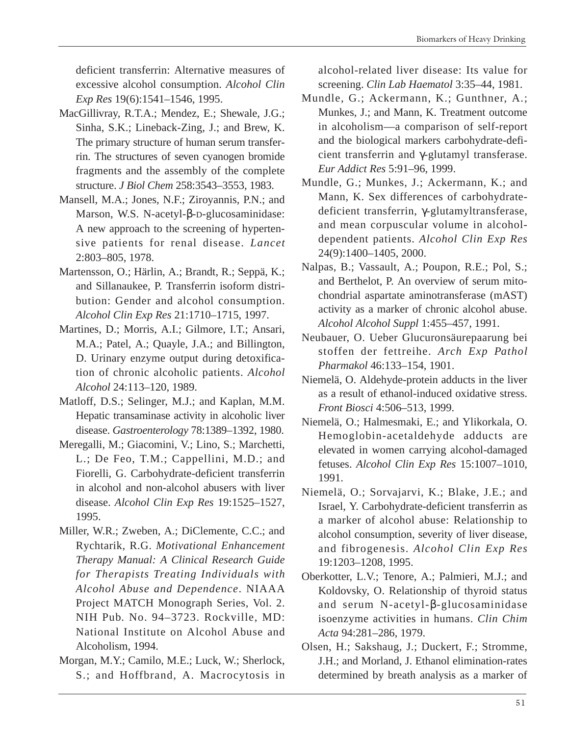deficient transferrin: Alternative measures of excessive alcohol consumption. *Alcohol Clin Exp Res* 19(6):1541–1546, 1995.

- MacGillivray, R.T.A.; Mendez, E.; Shewale, J.G.; Sinha, S.K.; Lineback-Zing, J.; and Brew, K. The primary structure of human serum transferrin. The structures of seven cyanogen bromide fragments and the assembly of the complete structure. *J Biol Chem* 258:3543–3553, 1983.
- Mansell, M.A.; Jones, N.F.; Ziroyannis, P.N.; and Marson, W.S. N-acetyl-β-D-glucosaminidase: A new approach to the screening of hypertensive patients for renal disease. *Lancet*  2:803–805, 1978.
- Martensson, O.; Härlin, A.; Brandt, R.; Seppä, K.; and Sillanaukee, P. Transferrin isoform distribution: Gender and alcohol consumption. *Alcohol Clin Exp Res* 21:1710–1715, 1997.
- Martines, D.; Morris, A.I.; Gilmore, I.T.; Ansari, M.A.; Patel, A.; Quayle, J.A.; and Billington, D. Urinary enzyme output during detoxification of chronic alcoholic patients. *Alcohol Alcohol* 24:113–120, 1989.
- Matloff, D.S.; Selinger, M.J.; and Kaplan, M.M. Hepatic transaminase activity in alcoholic liver disease. *Gastroenterology* 78:1389–1392, 1980.
- Meregalli, M.; Giacomini, V.; Lino, S.; Marchetti, L.; De Feo, T.M.; Cappellini, M.D.; and Fiorelli, G. Carbohydrate-deficient transferrin in alcohol and non-alcohol abusers with liver disease. *Alcohol Clin Exp Res* 19:1525–1527, 1995.
- Miller, W.R.; Zweben, A.; DiClemente, C.C.; and Rychtarik, R.G. *Motivational Enhancement Therapy Manual: A Clinical Research Guide for Therapists Treating Individuals with Alcohol Abuse and Dependence*. NIAAA Project MATCH Monograph Series, Vol. 2. NIH Pub. No. 94–3723. Rockville, MD: National Institute on Alcohol Abuse and Alcoholism, 1994.
- Morgan, M.Y.; Camilo, M.E.; Luck, W.; Sherlock, S.; and Hoffbrand, A. Macrocytosis in

alcohol-related liver disease: Its value for screening. *Clin Lab Haematol* 3:35–44, 1981.

- Mundle, G.; Ackermann, K.; Gunthner, A.; Munkes, J.; and Mann, K. Treatment outcome in alcoholism—a comparison of self-report and the biological markers carbohydrate-deficient transferrin and γ-glutamyl transferase. *Eur Addict Res* 5:91–96, 1999.
- Mundle, G.; Munkes, J.; Ackermann, K.; and Mann, K. Sex differences of carbohydratedeficient transferrin, γ-glutamyltransferase, and mean corpuscular volume in alcoholdependent patients. *Alcohol Clin Exp Res*  24(9):1400–1405, 2000.
- Nalpas, B.; Vassault, A.; Poupon, R.E.; Pol, S.; and Berthelot, P. An overview of serum mitochondrial aspartate aminotransferase (mAST) activity as a marker of chronic alcohol abuse. *Alcohol Alcohol Suppl* 1:455–457, 1991.
- Neubauer, O. Ueber Glucuronsäurepaarung bei stoffen der fettreihe. *Arch Exp Pathol Pharmakol* 46:133–154, 1901.
- Niemelä, O. Aldehyde-protein adducts in the liver as a result of ethanol-induced oxidative stress. *Front Biosci* 4:506–513, 1999.
- Niemelä, O.; Halmesmaki, E.; and Ylikorkala, O. Hemoglobin-acetaldehyde adducts are elevated in women carrying alcohol-damaged fetuses. *Alcohol Clin Exp Res* 15:1007–1010, 1991.
- Niemelä, O.; Sorvajarvi, K.; Blake, J.E.; and Israel, Y. Carbohydrate-deficient transferrin as a marker of alcohol abuse: Relationship to alcohol consumption, severity of liver disease, and fibrogenesis. *Alcohol Clin Exp Res*  19:1203–1208, 1995.
- Oberkotter, L.V.; Tenore, A.; Palmieri, M.J.; and Koldovsky, O. Relationship of thyroid status and serum N-acetyl-β-glucosaminidase isoenzyme activities in humans. *Clin Chim Acta* 94:281–286, 1979.
- Olsen, H.; Sakshaug, J.; Duckert, F.; Stromme, J.H.; and Morland, J. Ethanol elimination-rates determined by breath analysis as a marker of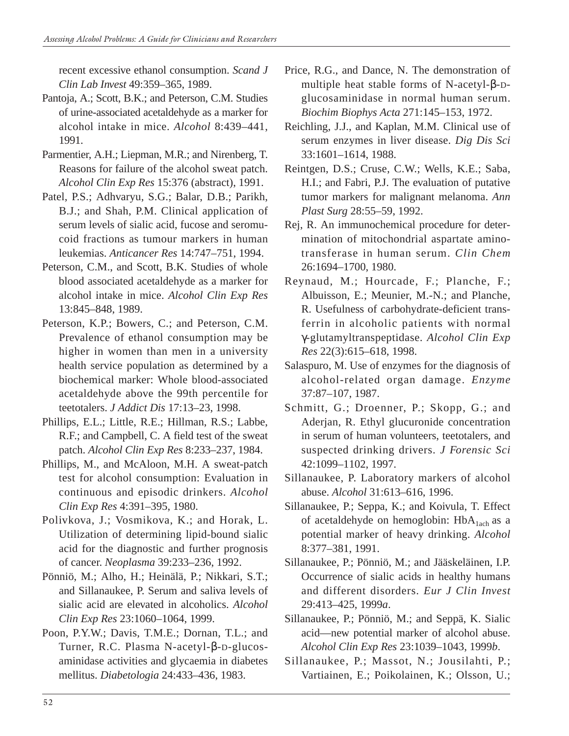recent excessive ethanol consumption. *Scand J Clin Lab Invest* 49:359–365, 1989.

- Pantoja, A.; Scott, B.K.; and Peterson, C.M. Studies of urine-associated acetaldehyde as a marker for alcohol intake in mice. *Alcohol* 8:439–441, 1991.
- Parmentier, A.H.; Liepman, M.R.; and Nirenberg, T. Reasons for failure of the alcohol sweat patch. *Alcohol Clin Exp Res* 15:376 (abstract), 1991.
- Patel, P.S.; Adhvaryu, S.G.; Balar, D.B.; Parikh, B.J.; and Shah, P.M. Clinical application of serum levels of sialic acid, fucose and seromucoid fractions as tumour markers in human leukemias. *Anticancer Res* 14:747–751, 1994.
- Peterson, C.M., and Scott, B.K. Studies of whole blood associated acetaldehyde as a marker for alcohol intake in mice. *Alcohol Clin Exp Res*  13:845–848, 1989.
- Peterson, K.P.; Bowers, C.; and Peterson, C.M. Prevalence of ethanol consumption may be higher in women than men in a university health service population as determined by a biochemical marker: Whole blood-associated acetaldehyde above the 99th percentile for teetotalers. *J Addict Dis* 17:13–23, 1998.
- Phillips, E.L.; Little, R.E.; Hillman, R.S.; Labbe, R.F.; and Campbell, C. A field test of the sweat patch. *Alcohol Clin Exp Res* 8:233–237, 1984.
- Phillips, M., and McAloon, M.H. A sweat-patch test for alcohol consumption: Evaluation in continuous and episodic drinkers. *Alcohol Clin Exp Res* 4:391–395, 1980.
- Polivkova, J.; Vosmikova, K.; and Horak, L. Utilization of determining lipid-bound sialic acid for the diagnostic and further prognosis of cancer. *Neoplasma* 39:233–236, 1992.
- Pönniö, M.; Alho, H.; Heinälä, P.; Nikkari, S.T.; and Sillanaukee, P. Serum and saliva levels of sialic acid are elevated in alcoholics. *Alcohol Clin Exp Res* 23:1060–1064, 1999.
- Poon, P.Y.W.; Davis, T.M.E.; Dornan, T.L.; and Turner, R.C. Plasma N-acetyl-β-D-glucosaminidase activities and glycaemia in diabetes mellitus. *Diabetologia* 24:433–436, 1983.
- Price, R.G., and Dance, N. The demonstration of multiple heat stable forms of N-acetyl-β-Dglucosaminidase in normal human serum. *Biochim Biophys Acta* 271:145–153, 1972.
- Reichling, J.J., and Kaplan, M.M. Clinical use of serum enzymes in liver disease. *Dig Dis Sci*  33:1601–1614, 1988.
- Reintgen, D.S.; Cruse, C.W.; Wells, K.E.; Saba, H.I.; and Fabri, P.J. The evaluation of putative tumor markers for malignant melanoma. *Ann Plast Surg* 28:55–59, 1992.
- Rej, R. An immunochemical procedure for determination of mitochondrial aspartate aminotransferase in human serum. *Clin Chem*  26:1694–1700, 1980.
- Reynaud, M.; Hourcade, F.; Planche, F.; Albuisson, E.; Meunier, M.-N.; and Planche, R. Usefulness of carbohydrate-deficient transferrin in alcoholic patients with normal γ-glutamyltranspeptidase. *Alcohol Clin Exp Res* 22(3):615–618, 1998.
- Salaspuro, M. Use of enzymes for the diagnosis of alcohol-related organ damage. *Enzyme*  37:87–107, 1987.
- Schmitt, G.; Droenner, P.; Skopp, G.; and Aderjan, R. Ethyl glucuronide concentration in serum of human volunteers, teetotalers, and suspected drinking drivers. *J Forensic Sci*  42:1099–1102, 1997.
- Sillanaukee, P. Laboratory markers of alcohol abuse. *Alcohol* 31:613–616, 1996.
- Sillanaukee, P.; Seppa, K.; and Koivula, T. Effect of acetaldehyde on hemoglobin:  $HbA<sub>1ach</sub>$  as a potential marker of heavy drinking. *Alcohol*  8:377–381, 1991.
- Sillanaukee, P.; Pönniö, M.; and Jääskeläinen, I.P. Occurrence of sialic acids in healthy humans and different disorders. *Eur J Clin Invest*  29:413–425, 1999*a*.
- Sillanaukee, P.; Pönniö, M.; and Seppä, K. Sialic acid—new potential marker of alcohol abuse. *Alcohol Clin Exp Res* 23:1039–1043, 1999*b*.
- Sillanaukee, P.; Massot, N.; Jousilahti, P.; Vartiainen, E.; Poikolainen, K.; Olsson, U.;